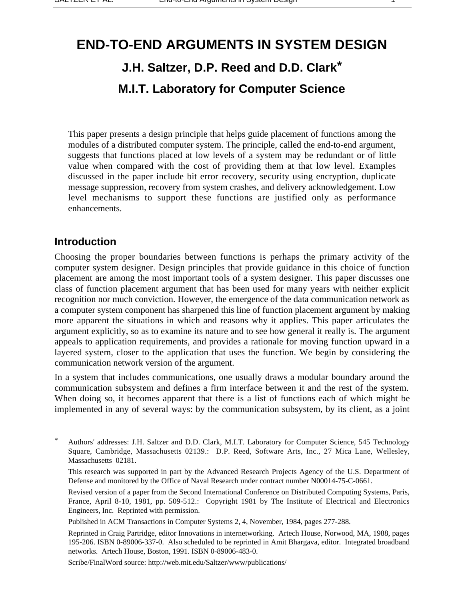# **END-TO-END ARGUMENTS IN SYSTEM DESIGN**

# **J.H. Saltzer, D.P. Reed and D.D. Clark\* M.I.T. Laboratory for Computer Science**

This paper presents a design principle that helps guide placement of functions among the modules of a distributed computer system. The principle, called the end-to-end argument, suggests that functions placed at low levels of a system may be redundant or of little value when compared with the cost of providing them at that low level. Examples discussed in the paper include bit error recovery, security using encryption, duplicate message suppression, recovery from system crashes, and delivery acknowledgement. Low level mechanisms to support these functions are justified only as performance enhancements.

## **Introduction**

Choosing the proper boundaries between functions is perhaps the primary activity of the computer system designer. Design principles that provide guidance in this choice of function placement are among the most important tools of a system designer. This paper discusses one class of function placement argument that has been used for many years with neither explicit recognition nor much conviction. However, the emergence of the data communication network as a computer system component has sharpened this line of function placement argument by making more apparent the situations in which and reasons why it applies. This paper articulates the argument explicitly, so as to examine its nature and to see how general it really is. The argument appeals to application requirements, and provides a rationale for moving function upward in a layered system, closer to the application that uses the function. We begin by considering the communication network version of the argument.

In a system that includes communications, one usually draws a modular boundary around the communication subsystem and defines a firm interface between it and the rest of the system. When doing so, it becomes apparent that there is a list of functions each of which might be implemented in any of several ways: by the communication subsystem, by its client, as a joint

Authors' addresses: J.H. Saltzer and D.D. Clark, M.I.T. Laboratory for Computer Science, 545 Technology Square, Cambridge, Massachusetts 02139.: D.P. Reed, Software Arts, Inc., 27 Mica Lane, Wellesley, Massachusetts 02181.

This research was supported in part by the Advanced Research Projects Agency of the U.S. Department of Defense and monitored by the Office of Naval Research under contract number N00014-75-C-0661.

Revised version of a paper from the Second International Conference on Distributed Computing Systems, Paris, France, April 8-10, 1981, pp. 509-512.: Copyright 1981 by The Institute of Electrical and Electronics Engineers, Inc. Reprinted with permission.

Published in ACM Transactions in Computer Systems 2, 4, November, 1984, pages 277-288.

Reprinted in Craig Partridge, editor Innovations in internetworking. Artech House, Norwood, MA, 1988, pages 195-206. ISBN 0-89006-337-0. Also scheduled to be reprinted in Amit Bhargava, editor. Integrated broadband networks. Artech House, Boston, 1991. ISBN 0-89006-483-0.

Scribe/FinalWord source: http://web.mit.edu/Saltzer/www/publications/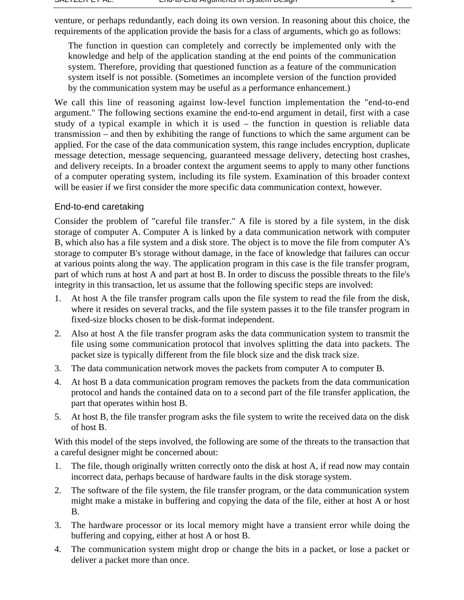venture, or perhaps redundantly, each doing its own version. In reasoning about this choice, the requirements of the application provide the basis for a class of arguments, which go as follows:

The function in question can completely and correctly be implemented only with the knowledge and help of the application standing at the end points of the communication system. Therefore, providing that questioned function as a feature of the communication system itself is not possible. (Sometimes an incomplete version of the function provided by the communication system may be useful as a performance enhancement.)

We call this line of reasoning against low-level function implementation the "end-to-end argument." The following sections examine the end-to-end argument in detail, first with a case study of a typical example in which it is used – the function in question is reliable data transmission – and then by exhibiting the range of functions to which the same argument can be applied. For the case of the data communication system, this range includes encryption, duplicate message detection, message sequencing, guaranteed message delivery, detecting host crashes, and delivery receipts. In a broader context the argument seems to apply to many other functions of a computer operating system, including its file system. Examination of this broader context will be easier if we first consider the more specific data communication context, however.

## End-to-end caretaking

Consider the problem of "careful file transfer." A file is stored by a file system, in the disk storage of computer A. Computer A is linked by a data communication network with computer B, which also has a file system and a disk store. The object is to move the file from computer A's storage to computer B's storage without damage, in the face of knowledge that failures can occur at various points along the way. The application program in this case is the file transfer program, part of which runs at host A and part at host B. In order to discuss the possible threats to the file's integrity in this transaction, let us assume that the following specific steps are involved:

- 1. At host A the file transfer program calls upon the file system to read the file from the disk, where it resides on several tracks, and the file system passes it to the file transfer program in fixed-size blocks chosen to be disk-format independent.
- 2. Also at host A the file transfer program asks the data communication system to transmit the file using some communication protocol that involves splitting the data into packets. The packet size is typically different from the file block size and the disk track size.
- 3. The data communication network moves the packets from computer A to computer B.
- 4. At host B a data communication program removes the packets from the data communication protocol and hands the contained data on to a second part of the file transfer application, the part that operates within host B.
- 5. At host B, the file transfer program asks the file system to write the received data on the disk of host B.

With this model of the steps involved, the following are some of the threats to the transaction that a careful designer might be concerned about:

- 1. The file, though originally written correctly onto the disk at host A, if read now may contain incorrect data, perhaps because of hardware faults in the disk storage system.
- 2. The software of the file system, the file transfer program, or the data communication system might make a mistake in buffering and copying the data of the file, either at host A or host B.
- 3. The hardware processor or its local memory might have a transient error while doing the buffering and copying, either at host A or host B.
- 4. The communication system might drop or change the bits in a packet, or lose a packet or deliver a packet more than once.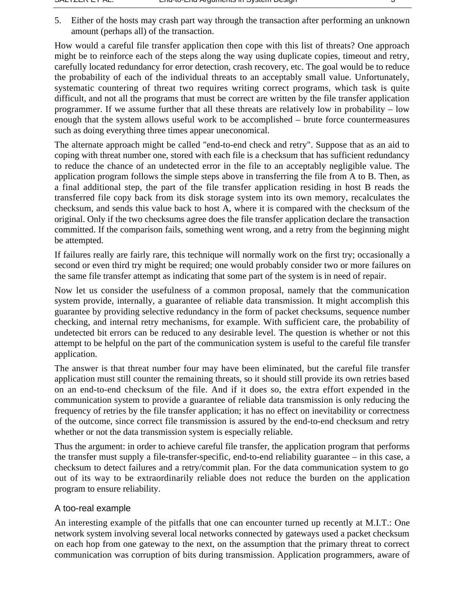5. Either of the hosts may crash part way through the transaction after performing an unknown amount (perhaps all) of the transaction.

How would a careful file transfer application then cope with this list of threats? One approach might be to reinforce each of the steps along the way using duplicate copies, timeout and retry, carefully located redundancy for error detection, crash recovery, etc. The goal would be to reduce the probability of each of the individual threats to an acceptably small value. Unfortunately, systematic countering of threat two requires writing correct programs, which task is quite difficult, and not all the programs that must be correct are written by the file transfer application programmer. If we assume further that all these threats are relatively low in probability – low enough that the system allows useful work to be accomplished – brute force countermeasures such as doing everything three times appear uneconomical.

The alternate approach might be called "end-to-end check and retry". Suppose that as an aid to coping with threat number one, stored with each file is a checksum that has sufficient redundancy to reduce the chance of an undetected error in the file to an acceptably negligible value. The application program follows the simple steps above in transferring the file from A to B. Then, as a final additional step, the part of the file transfer application residing in host B reads the transferred file copy back from its disk storage system into its own memory, recalculates the checksum, and sends this value back to host A, where it is compared with the checksum of the original. Only if the two checksums agree does the file transfer application declare the transaction committed. If the comparison fails, something went wrong, and a retry from the beginning might be attempted.

If failures really are fairly rare, this technique will normally work on the first try; occasionally a second or even third try might be required; one would probably consider two or more failures on the same file transfer attempt as indicating that some part of the system is in need of repair.

Now let us consider the usefulness of a common proposal, namely that the communication system provide, internally, a guarantee of reliable data transmission. It might accomplish this guarantee by providing selective redundancy in the form of packet checksums, sequence number checking, and internal retry mechanisms, for example. With sufficient care, the probability of undetected bit errors can be reduced to any desirable level. The question is whether or not this attempt to be helpful on the part of the communication system is useful to the careful file transfer application.

The answer is that threat number four may have been eliminated, but the careful file transfer application must still counter the remaining threats, so it should still provide its own retries based on an end-to-end checksum of the file. And if it does so, the extra effort expended in the communication system to provide a guarantee of reliable data transmission is only reducing the frequency of retries by the file transfer application; it has no effect on inevitability or correctness of the outcome, since correct file transmission is assured by the end-to-end checksum and retry whether or not the data transmission system is especially reliable.

Thus the argument: in order to achieve careful file transfer, the application program that performs the transfer must supply a file-transfer-specific, end-to-end reliability guarantee – in this case, a checksum to detect failures and a retry/commit plan. For the data communication system to go out of its way to be extraordinarily reliable does not reduce the burden on the application program to ensure reliability.

## A too-real example

An interesting example of the pitfalls that one can encounter turned up recently at M.I.T.: One network system involving several local networks connected by gateways used a packet checksum on each hop from one gateway to the next, on the assumption that the primary threat to correct communication was corruption of bits during transmission. Application programmers, aware of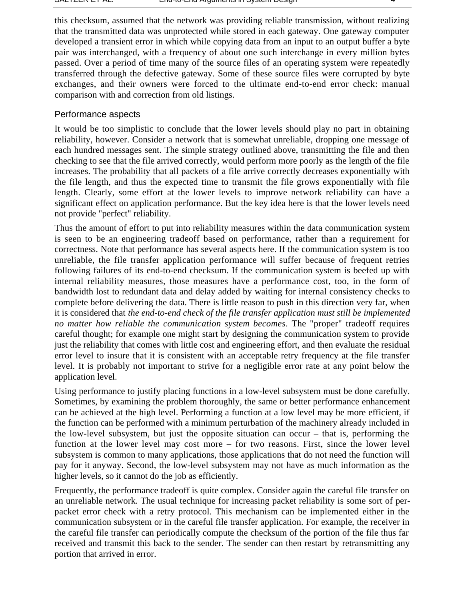this checksum, assumed that the network was providing reliable transmission, without realizing that the transmitted data was unprotected while stored in each gateway. One gateway computer developed a transient error in which while copying data from an input to an output buffer a byte pair was interchanged, with a frequency of about one such interchange in every million bytes passed. Over a period of time many of the source files of an operating system were repeatedly transferred through the defective gateway. Some of these source files were corrupted by byte exchanges, and their owners were forced to the ultimate end-to-end error check: manual comparison with and correction from old listings.

#### Performance aspects

It would be too simplistic to conclude that the lower levels should play no part in obtaining reliability, however. Consider a network that is somewhat unreliable, dropping one message of each hundred messages sent. The simple strategy outlined above, transmitting the file and then checking to see that the file arrived correctly, would perform more poorly as the length of the file increases. The probability that all packets of a file arrive correctly decreases exponentially with the file length, and thus the expected time to transmit the file grows exponentially with file length. Clearly, some effort at the lower levels to improve network reliability can have a significant effect on application performance. But the key idea here is that the lower levels need not provide "perfect" reliability.

Thus the amount of effort to put into reliability measures within the data communication system is seen to be an engineering tradeoff based on performance, rather than a requirement for correctness. Note that performance has several aspects here. If the communication system is too unreliable, the file transfer application performance will suffer because of frequent retries following failures of its end-to-end checksum. If the communication system is beefed up with internal reliability measures, those measures have a performance cost, too, in the form of bandwidth lost to redundant data and delay added by waiting for internal consistency checks to complete before delivering the data. There is little reason to push in this direction very far, when it is considered that *the end-to-end check of the file transfer application must still be implemented no matter how reliable the communication system becomes*. The "proper" tradeoff requires careful thought; for example one might start by designing the communication system to provide just the reliability that comes with little cost and engineering effort, and then evaluate the residual error level to insure that it is consistent with an acceptable retry frequency at the file transfer level. It is probably not important to strive for a negligible error rate at any point below the application level.

Using performance to justify placing functions in a low-level subsystem must be done carefully. Sometimes, by examining the problem thoroughly, the same or better performance enhancement can be achieved at the high level. Performing a function at a low level may be more efficient, if the function can be performed with a minimum perturbation of the machinery already included in the low-level subsystem, but just the opposite situation can occur – that is, performing the function at the lower level may cost more – for two reasons. First, since the lower level subsystem is common to many applications, those applications that do not need the function will pay for it anyway. Second, the low-level subsystem may not have as much information as the higher levels, so it cannot do the job as efficiently.

Frequently, the performance tradeoff is quite complex. Consider again the careful file transfer on an unreliable network. The usual technique for increasing packet reliability is some sort of perpacket error check with a retry protocol. This mechanism can be implemented either in the communication subsystem or in the careful file transfer application. For example, the receiver in the careful file transfer can periodically compute the checksum of the portion of the file thus far received and transmit this back to the sender. The sender can then restart by retransmitting any portion that arrived in error.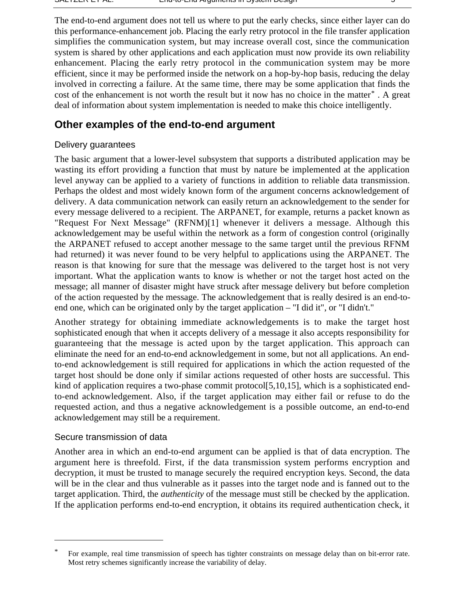The end-to-end argument does not tell us where to put the early checks, since either layer can do this performance-enhancement job. Placing the early retry protocol in the file transfer application simplifies the communication system, but may increase overall cost, since the communication system is shared by other applications and each application must now provide its own reliability enhancement. Placing the early retry protocol in the communication system may be more efficient, since it may be performed inside the network on a hop-by-hop basis, reducing the delay involved in correcting a failure. At the same time, there may be some application that finds the cost of the enhancement is not worth the result but it now has no choice in the matter\* . A great deal of information about system implementation is needed to make this choice intelligently.

## **Other examples of the end-to-end argument**

## Delivery guarantees

The basic argument that a lower-level subsystem that supports a distributed application may be wasting its effort providing a function that must by nature be implemented at the application level anyway can be applied to a variety of functions in addition to reliable data transmission. Perhaps the oldest and most widely known form of the argument concerns acknowledgement of delivery. A data communication network can easily return an acknowledgement to the sender for every message delivered to a recipient. The ARPANET, for example, returns a packet known as "Request For Next Message" (RFNM)[1] whenever it delivers a message. Although this acknowledgement may be useful within the network as a form of congestion control (originally the ARPANET refused to accept another message to the same target until the previous RFNM had returned) it was never found to be very helpful to applications using the ARPANET. The reason is that knowing for sure that the message was delivered to the target host is not very important. What the application wants to know is whether or not the target host acted on the message; all manner of disaster might have struck after message delivery but before completion of the action requested by the message. The acknowledgement that is really desired is an end-toend one, which can be originated only by the target application – "I did it", or "I didn't."

Another strategy for obtaining immediate acknowledgements is to make the target host sophisticated enough that when it accepts delivery of a message it also accepts responsibility for guaranteeing that the message is acted upon by the target application. This approach can eliminate the need for an end-to-end acknowledgement in some, but not all applications. An endto-end acknowledgement is still required for applications in which the action requested of the target host should be done only if similar actions requested of other hosts are successful. This kind of application requires a two-phase commit protocol [5,10,15], which is a sophisticated endto-end acknowledgement. Also, if the target application may either fail or refuse to do the requested action, and thus a negative acknowledgement is a possible outcome, an end-to-end acknowledgement may still be a requirement.

## Secure transmission of data

Another area in which an end-to-end argument can be applied is that of data encryption. The argument here is threefold. First, if the data transmission system performs encryption and decryption, it must be trusted to manage securely the required encryption keys. Second, the data will be in the clear and thus vulnerable as it passes into the target node and is fanned out to the target application. Third, the *authenticity* of the message must still be checked by the application. If the application performs end-to-end encryption, it obtains its required authentication check, it

For example, real time transmission of speech has tighter constraints on message delay than on bit-error rate. Most retry schemes significantly increase the variability of delay.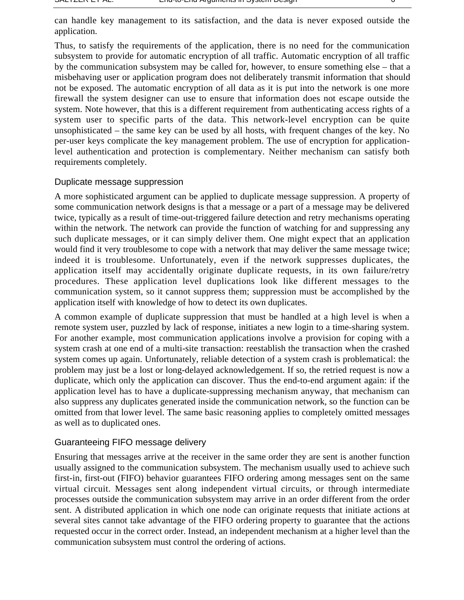can handle key management to its satisfaction, and the data is never exposed outside the application.

Thus, to satisfy the requirements of the application, there is no need for the communication subsystem to provide for automatic encryption of all traffic. Automatic encryption of all traffic by the communication subsystem may be called for, however, to ensure something else – that a misbehaving user or application program does not deliberately transmit information that should not be exposed. The automatic encryption of all data as it is put into the network is one more firewall the system designer can use to ensure that information does not escape outside the system. Note however, that this is a different requirement from authenticating access rights of a system user to specific parts of the data. This network-level encryption can be quite unsophisticated – the same key can be used by all hosts, with frequent changes of the key. No per-user keys complicate the key management problem. The use of encryption for applicationlevel authentication and protection is complementary. Neither mechanism can satisfy both requirements completely.

#### Duplicate message suppression

A more sophisticated argument can be applied to duplicate message suppression. A property of some communication network designs is that a message or a part of a message may be delivered twice, typically as a result of time-out-triggered failure detection and retry mechanisms operating within the network. The network can provide the function of watching for and suppressing any such duplicate messages, or it can simply deliver them. One might expect that an application would find it very troublesome to cope with a network that may deliver the same message twice; indeed it is troublesome. Unfortunately, even if the network suppresses duplicates, the application itself may accidentally originate duplicate requests, in its own failure/retry procedures. These application level duplications look like different messages to the communication system, so it cannot suppress them; suppression must be accomplished by the application itself with knowledge of how to detect its own duplicates.

A common example of duplicate suppression that must be handled at a high level is when a remote system user, puzzled by lack of response, initiates a new login to a time-sharing system. For another example, most communication applications involve a provision for coping with a system crash at one end of a multi-site transaction: reestablish the transaction when the crashed system comes up again. Unfortunately, reliable detection of a system crash is problematical: the problem may just be a lost or long-delayed acknowledgement. If so, the retried request is now a duplicate, which only the application can discover. Thus the end-to-end argument again: if the application level has to have a duplicate-suppressing mechanism anyway, that mechanism can also suppress any duplicates generated inside the communication network, so the function can be omitted from that lower level. The same basic reasoning applies to completely omitted messages as well as to duplicated ones.

#### Guaranteeing FIFO message delivery

Ensuring that messages arrive at the receiver in the same order they are sent is another function usually assigned to the communication subsystem. The mechanism usually used to achieve such first-in, first-out (FIFO) behavior guarantees FIFO ordering among messages sent on the same virtual circuit. Messages sent along independent virtual circuits, or through intermediate processes outside the communication subsystem may arrive in an order different from the order sent. A distributed application in which one node can originate requests that initiate actions at several sites cannot take advantage of the FIFO ordering property to guarantee that the actions requested occur in the correct order. Instead, an independent mechanism at a higher level than the communication subsystem must control the ordering of actions.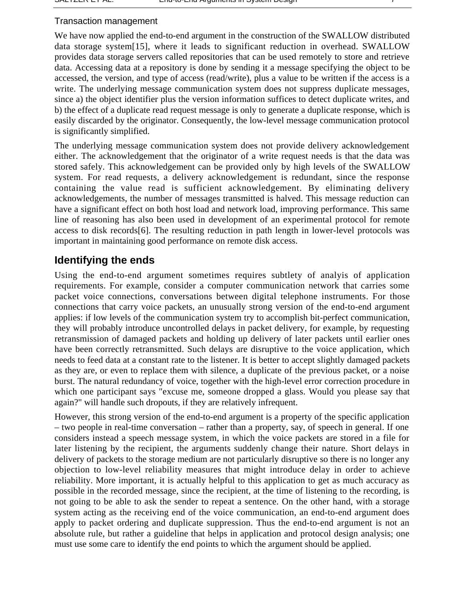### Transaction management

We have now applied the end-to-end argument in the construction of the SWALLOW distributed data storage system[15], where it leads to significant reduction in overhead. SWALLOW provides data storage servers called repositories that can be used remotely to store and retrieve data. Accessing data at a repository is done by sending it a message specifying the object to be accessed, the version, and type of access (read/write), plus a value to be written if the access is a write. The underlying message communication system does not suppress duplicate messages, since a) the object identifier plus the version information suffices to detect duplicate writes, and b) the effect of a duplicate read request message is only to generate a duplicate response, which is easily discarded by the originator. Consequently, the low-level message communication protocol is significantly simplified.

The underlying message communication system does not provide delivery acknowledgement either. The acknowledgement that the originator of a write request needs is that the data was stored safely. This acknowledgement can be provided only by high levels of the SWALLOW system. For read requests, a delivery acknowledgement is redundant, since the response containing the value read is sufficient acknowledgement. By eliminating delivery acknowledgements, the number of messages transmitted is halved. This message reduction can have a significant effect on both host load and network load, improving performance. This same line of reasoning has also been used in development of an experimental protocol for remote access to disk records[6]. The resulting reduction in path length in lower-level protocols was important in maintaining good performance on remote disk access.

## **Identifying the ends**

Using the end-to-end argument sometimes requires subtlety of analyis of application requirements. For example, consider a computer communication network that carries some packet voice connections, conversations between digital telephone instruments. For those connections that carry voice packets, an unusually strong version of the end-to-end argument applies: if low levels of the communication system try to accomplish bit-perfect communication, they will probably introduce uncontrolled delays in packet delivery, for example, by requesting retransmission of damaged packets and holding up delivery of later packets until earlier ones have been correctly retransmitted. Such delays are disruptive to the voice application, which needs to feed data at a constant rate to the listener. It is better to accept slightly damaged packets as they are, or even to replace them with silence, a duplicate of the previous packet, or a noise burst. The natural redundancy of voice, together with the high-level error correction procedure in which one participant says "excuse me, someone dropped a glass. Would you please say that again?" will handle such dropouts, if they are relatively infrequent.

However, this strong version of the end-to-end argument is a property of the specific application – two people in real-time conversation – rather than a property, say, of speech in general. If one considers instead a speech message system, in which the voice packets are stored in a file for later listening by the recipient, the arguments suddenly change their nature. Short delays in delivery of packets to the storage medium are not particularly disruptive so there is no longer any objection to low-level reliability measures that might introduce delay in order to achieve reliability. More important, it is actually helpful to this application to get as much accuracy as possible in the recorded message, since the recipient, at the time of listening to the recording, is not going to be able to ask the sender to repeat a sentence. On the other hand, with a storage system acting as the receiving end of the voice communication, an end-to-end argument does apply to packet ordering and duplicate suppression. Thus the end-to-end argument is not an absolute rule, but rather a guideline that helps in application and protocol design analysis; one must use some care to identify the end points to which the argument should be applied.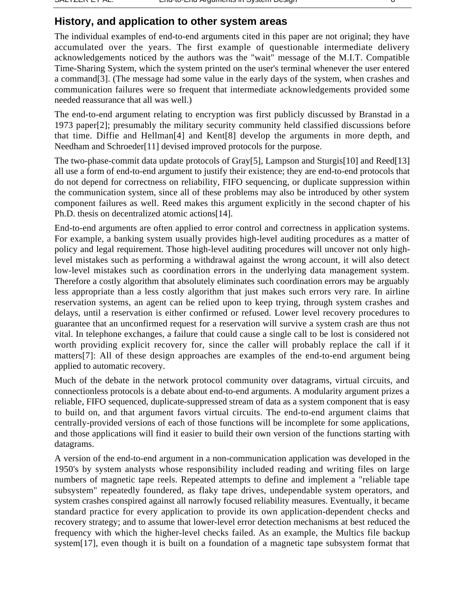## **History, and application to other system areas**

The individual examples of end-to-end arguments cited in this paper are not original; they have accumulated over the years. The first example of questionable intermediate delivery acknowledgements noticed by the authors was the "wait" message of the M.I.T. Compatible Time-Sharing System, which the system printed on the user's terminal whenever the user entered a command[3]. (The message had some value in the early days of the system, when crashes and communication failures were so frequent that intermediate acknowledgements provided some needed reassurance that all was well.)

The end-to-end argument relating to encryption was first publicly discussed by Branstad in a 1973 paper[2]; presumably the military security community held classified discussions before that time. Diffie and Hellman[4] and Kent[8] develop the arguments in more depth, and Needham and Schroeder[11] devised improved protocols for the purpose.

The two-phase-commit data update protocols of Gray[5], Lampson and Sturgis[10] and Reed[13] all use a form of end-to-end argument to justify their existence; they are end-to-end protocols that do not depend for correctness on reliability, FIFO sequencing, or duplicate suppression within the communication system, since all of these problems may also be introduced by other system component failures as well. Reed makes this argument explicitly in the second chapter of his Ph.D. thesis on decentralized atomic actions[14].

End-to-end arguments are often applied to error control and correctness in application systems. For example, a banking system usually provides high-level auditing procedures as a matter of policy and legal requirement. Those high-level auditing procedures will uncover not only highlevel mistakes such as performing a withdrawal against the wrong account, it will also detect low-level mistakes such as coordination errors in the underlying data management system. Therefore a costly algorithm that absolutely eliminates such coordination errors may be arguably less appropriate than a less costly algorithm that just makes such errors very rare. In airline reservation systems, an agent can be relied upon to keep trying, through system crashes and delays, until a reservation is either confirmed or refused. Lower level recovery procedures to guarantee that an unconfirmed request for a reservation will survive a system crash are thus not vital. In telephone exchanges, a failure that could cause a single call to be lost is considered not worth providing explicit recovery for, since the caller will probably replace the call if it matters[7]: All of these design approaches are examples of the end-to-end argument being applied to automatic recovery.

Much of the debate in the network protocol community over datagrams, virtual circuits, and connectionless protocols is a debate about end-to-end arguments. A modularity argument prizes a reliable, FIFO sequenced, duplicate-suppressed stream of data as a system component that is easy to build on, and that argument favors virtual circuits. The end-to-end argument claims that centrally-provided versions of each of those functions will be incomplete for some applications, and those applications will find it easier to build their own version of the functions starting with datagrams.

A version of the end-to-end argument in a non-communication application was developed in the 1950's by system analysts whose responsibility included reading and writing files on large numbers of magnetic tape reels. Repeated attempts to define and implement a "reliable tape subsystem" repeatedly foundered, as flaky tape drives, undependable system operators, and system crashes conspired against all narrowly focused reliability measures. Eventually, it became standard practice for every application to provide its own application-dependent checks and recovery strategy; and to assume that lower-level error detection mechanisms at best reduced the frequency with which the higher-level checks failed. As an example, the Multics file backup system[17], even though it is built on a foundation of a magnetic tape subsystem format that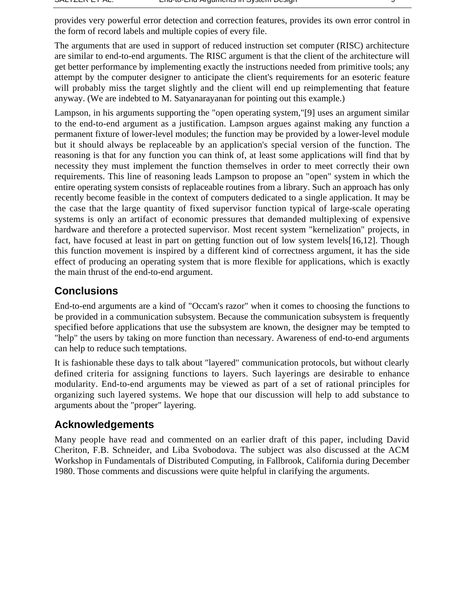provides very powerful error detection and correction features, provides its own error control in the form of record labels and multiple copies of every file.

The arguments that are used in support of reduced instruction set computer (RISC) architecture are similar to end-to-end arguments. The RISC argument is that the client of the architecture will get better performance by implementing exactly the instructions needed from primitive tools; any attempt by the computer designer to anticipate the client's requirements for an esoteric feature will probably miss the target slightly and the client will end up reimplementing that feature anyway. (We are indebted to M. Satyanarayanan for pointing out this example.)

Lampson, in his arguments supporting the "open operating system,"[9] uses an argument similar to the end-to-end argument as a justification. Lampson argues against making any function a permanent fixture of lower-level modules; the function may be provided by a lower-level module but it should always be replaceable by an application's special version of the function. The reasoning is that for any function you can think of, at least some applications will find that by necessity they must implement the function themselves in order to meet correctly their own requirements. This line of reasoning leads Lampson to propose an "open" system in which the entire operating system consists of replaceable routines from a library. Such an approach has only recently become feasible in the context of computers dedicated to a single application. It may be the case that the large quantity of fixed supervisor function typical of large-scale operating systems is only an artifact of economic pressures that demanded multiplexing of expensive hardware and therefore a protected supervisor. Most recent system "kernelization" projects, in fact, have focused at least in part on getting function out of low system levels[16,12]. Though this function movement is inspired by a different kind of correctness argument, it has the side effect of producing an operating system that is more flexible for applications, which is exactly the main thrust of the end-to-end argument.

## **Conclusions**

End-to-end arguments are a kind of "Occam's razor" when it comes to choosing the functions to be provided in a communication subsystem. Because the communication subsystem is frequently specified before applications that use the subsystem are known, the designer may be tempted to "help" the users by taking on more function than necessary. Awareness of end-to-end arguments can help to reduce such temptations.

It is fashionable these days to talk about "layered" communication protocols, but without clearly defined criteria for assigning functions to layers. Such layerings are desirable to enhance modularity. End-to-end arguments may be viewed as part of a set of rational principles for organizing such layered systems. We hope that our discussion will help to add substance to arguments about the "proper" layering.

## **Acknowledgements**

Many people have read and commented on an earlier draft of this paper, including David Cheriton, F.B. Schneider, and Liba Svobodova. The subject was also discussed at the ACM Workshop in Fundamentals of Distributed Computing, in Fallbrook, California during December 1980. Those comments and discussions were quite helpful in clarifying the arguments.